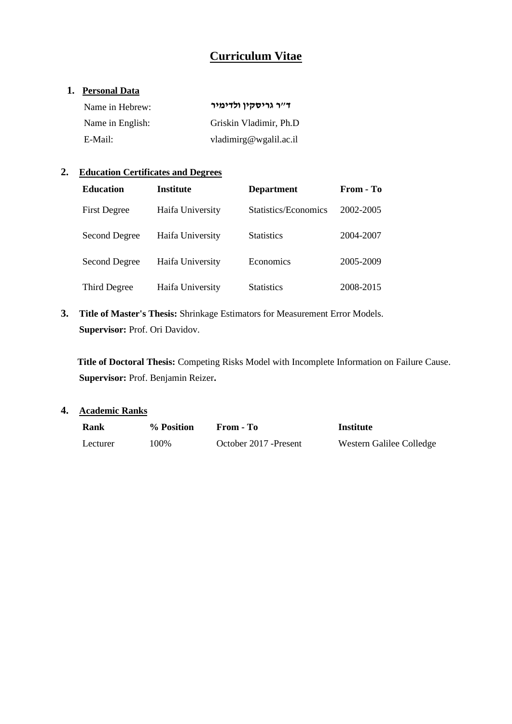# **Curriculum Vitae**

### **1. Personal Data**

| Name in Hebrew:  | ד״ר גריסקין ולדימיר    |
|------------------|------------------------|
| Name in English: | Griskin Vladimir, Ph.D |
| E-Mail:          | vladimirg@wgalil.ac.il |

## **2. Education Certificates and Degrees**

| <b>Education</b>     | <b>Institute</b> | <b>Department</b>    | From - To |
|----------------------|------------------|----------------------|-----------|
| <b>First Degree</b>  | Haifa University | Statistics/Economics | 2002-2005 |
| <b>Second Degree</b> | Haifa University | <b>Statistics</b>    | 2004-2007 |
| <b>Second Degree</b> | Haifa University | Economics            | 2005-2009 |
| Third Degree         | Haifa University | <b>Statistics</b>    | 2008-2015 |

**3. Title of Master's Thesis:** Shrinkage Estimators for Measurement Error Models. **Supervisor: Prof. Ori Davidov.** 

 **Title of Doctoral Thesis:** Competing Risks Model with Incomplete Information on Failure Cause. **Supervisor:** Prof. Benjamin Reizer**.**

## **4. Academic Ranks**

| Rank     | % Position | From - To              | Institute                |
|----------|------------|------------------------|--------------------------|
| Lecturer | 100%       | October 2017 - Present | Western Galilee Colledge |